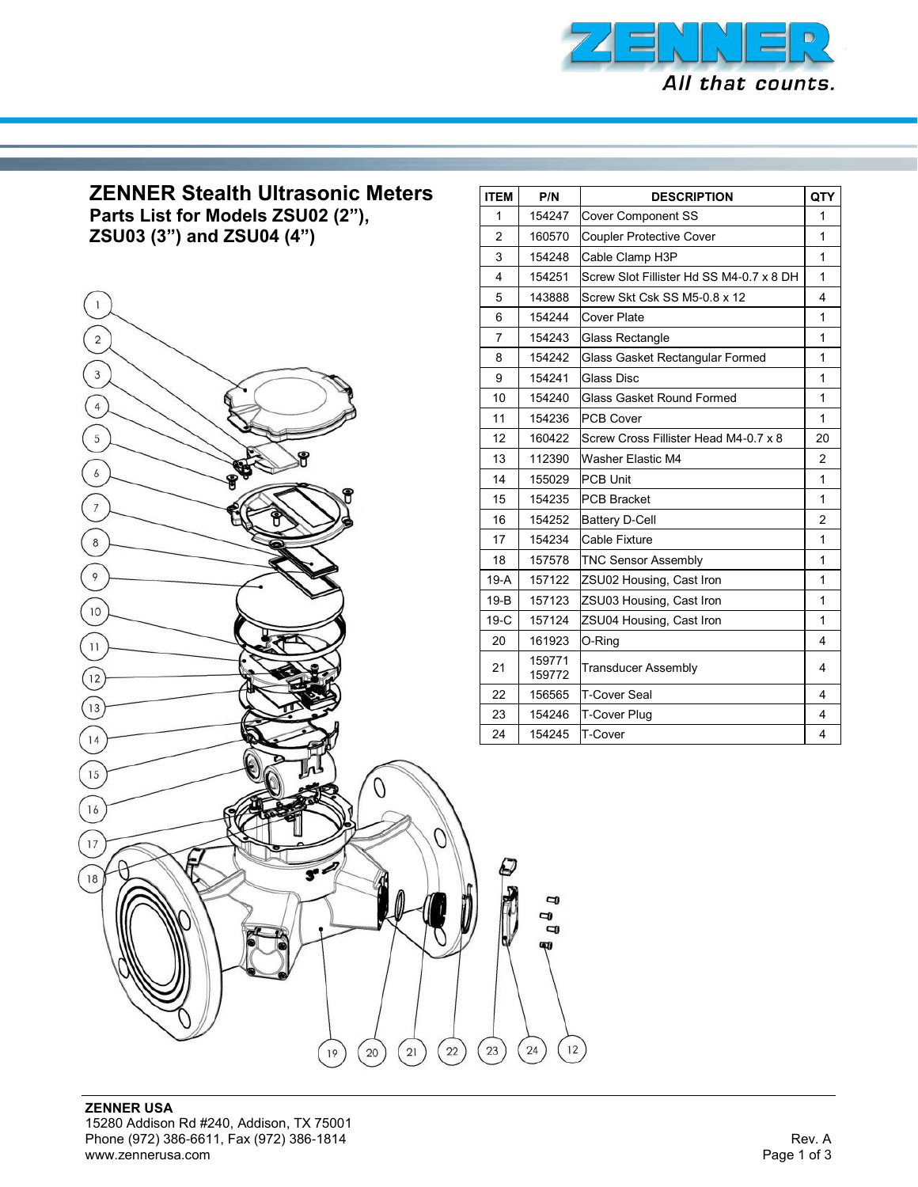

## **ZENNER Stealth Ultrasonic Meters**

**Parts List for Models ZSU02 (2"), ZSU03 (3") and ZSU04 (4")**



| <b>ITEM</b>    | P/N              | <b>DESCRIPTION</b>                       | <b>QTY</b>     |
|----------------|------------------|------------------------------------------|----------------|
| 1              | 154247           | <b>Cover Component SS</b>                | 1              |
| $\overline{2}$ | 160570           | <b>Coupler Protective Cover</b>          | 1              |
| 3              | 154248           | Cable Clamp H3P                          | 1              |
| 4              | 154251           | Screw Slot Fillister Hd SS M4-0.7 x 8 DH | 1              |
| 5              | 143888           | Screw Skt Csk SS M5-0.8 x 12             | 4              |
| 6              | 154244           | Cover Plate                              | 1              |
| 7              | 154243           | Glass Rectangle                          | 1              |
| 8              | 154242           | Glass Gasket Rectangular Formed          | 1              |
| 9              | 154241           | Glass Disc                               | 1              |
| 10             | 154240           | Glass Gasket Round Formed                | 1              |
| 11             | 154236           | <b>PCB Cover</b>                         | 1              |
| 12             | 160422           | Screw Cross Fillister Head M4-0.7 x 8    | 20             |
| 13             | 112390           | Washer Elastic M4                        | 2              |
| 14             | 155029           | <b>PCB Unit</b>                          | 1              |
| 15             | 154235           | <b>PCB Bracket</b>                       | 1              |
| 16             | 154252           | <b>Battery D-Cell</b>                    | $\overline{2}$ |
| 17             | 154234           | Cable Fixture                            | 1              |
| 18             | 157578           | <b>TNC Sensor Assembly</b>               | 1              |
| $19-A$         | 157122           | ZSU02 Housing, Cast Iron                 | 1              |
| $19-B$         | 157123           | ZSU03 Housing, Cast Iron                 | 1              |
| $19-C$         | 157124           | ZSU04 Housing, Cast Iron                 | 1              |
| 20             | 161923           | O-Ring                                   | 4              |
| 21             | 159771<br>159772 | Transducer Assembly                      | 4              |
| 22             | 156565           | T-Cover Seal                             | 4              |
| 23             | 154246           | T-Cover Plug                             | 4              |
| 24             | 154245           | T-Cover                                  | 4              |
|                |                  |                                          |                |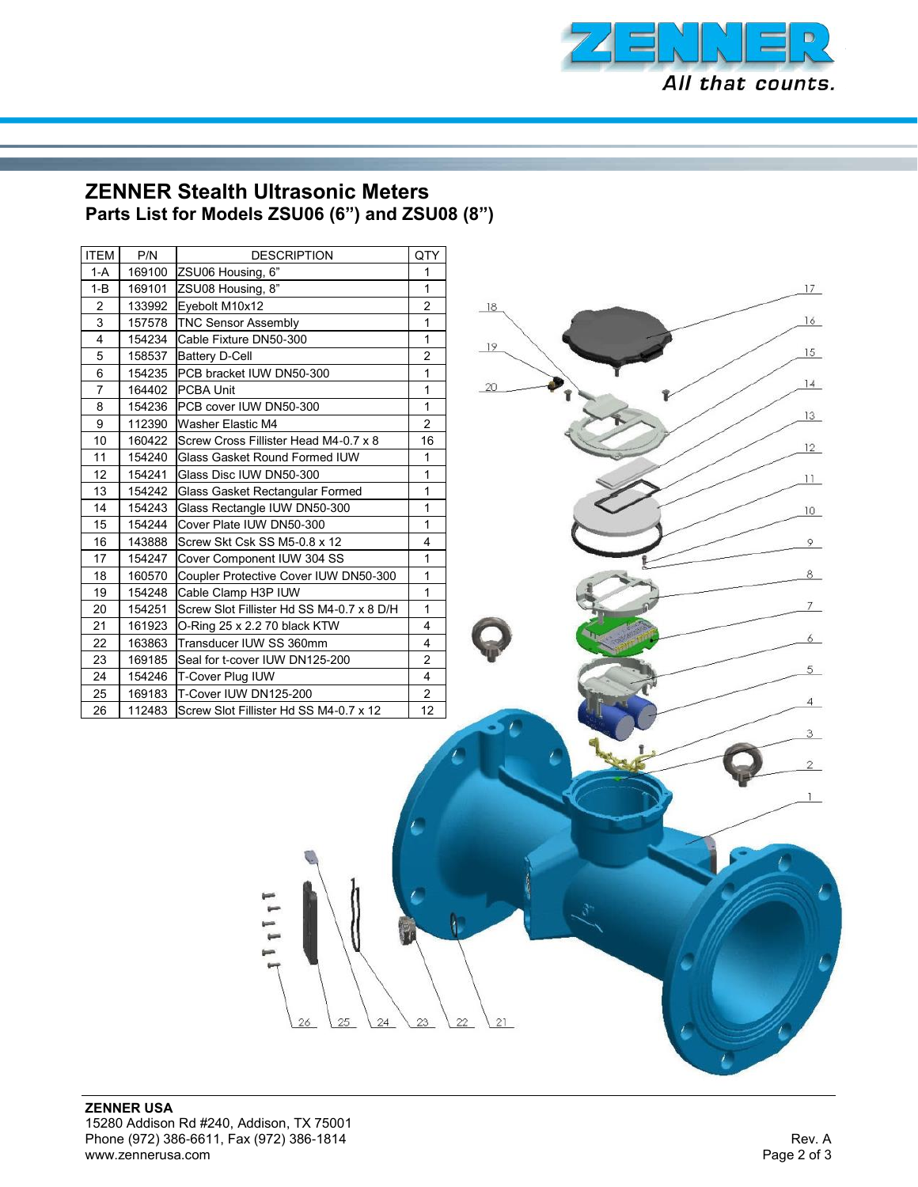

## **ZENNER Stealth Ultrasonic Meters Parts List for Models ZSU06 (6") and ZSU08 (8")**

| <b>ITEM</b>    | P/N    | <b>DESCRIPTION</b>                        | QTY            |
|----------------|--------|-------------------------------------------|----------------|
| 1-A            | 169100 | ZSU06 Housing, 6"                         | 1              |
| $1 - B$        | 169101 | ZSU08 Housing, 8"                         | 1              |
| $\overline{2}$ | 133992 | Evebolt M10x12                            | $\overline{2}$ |
| 3              | 157578 | <b>TNC Sensor Assembly</b>                | 1              |
| 4              | 154234 | Cable Fixture DN50-300                    | 1              |
| 5              | 158537 | <b>Battery D-Cell</b>                     | $\overline{c}$ |
| 6              | 154235 | PCB bracket IUW DN50-300                  | 1              |
| 7              | 164402 | <b>PCBA Unit</b>                          | 1              |
| 8              | 154236 | PCB cover IUW DN50-300                    | $\mathbf{1}$   |
| 9              | 112390 | Washer Elastic M4                         | $\overline{2}$ |
| 10             | 160422 | Screw Cross Fillister Head M4-0.7 x 8     | 16             |
| 11             | 154240 | Glass Gasket Round Formed IUW             | 1              |
| 12             | 154241 | Glass Disc IUW DN50-300                   | 1              |
| 13             | 154242 | Glass Gasket Rectangular Formed           | 1              |
| 14             | 154243 | Glass Rectangle IUW DN50-300              | 1              |
| 15             | 154244 | Cover Plate IUW DN50-300                  | 1              |
| 16             | 143888 | Screw Skt Csk SS M5-0.8 x 12              | 4              |
| 17             | 154247 | Cover Component IUW 304 SS                | 1              |
| 18             | 160570 | Coupler Protective Cover IUW DN50-300     | 1              |
| 19             | 154248 | Cable Clamp H3P IUW                       | 1              |
| 20             | 154251 | Screw Slot Fillister Hd SS M4-0.7 x 8 D/H | 1              |
| 21             | 161923 | O-Ring 25 x 2.2 70 black KTW              | 4              |
| 22             | 163863 | Transducer IUW SS 360mm                   | 4              |
| 23             | 169185 | Seal for t-cover IUW DN125-200            | $\overline{2}$ |
| 24             | 154246 | T-Cover Plug IUW                          | 4              |
| 25             | 169183 | T-Cover IUW DN125-200                     | $\overline{c}$ |
| 26             | 112483 | Screw Slot Fillister Hd SS M4-0.7 x 12    | 12             |